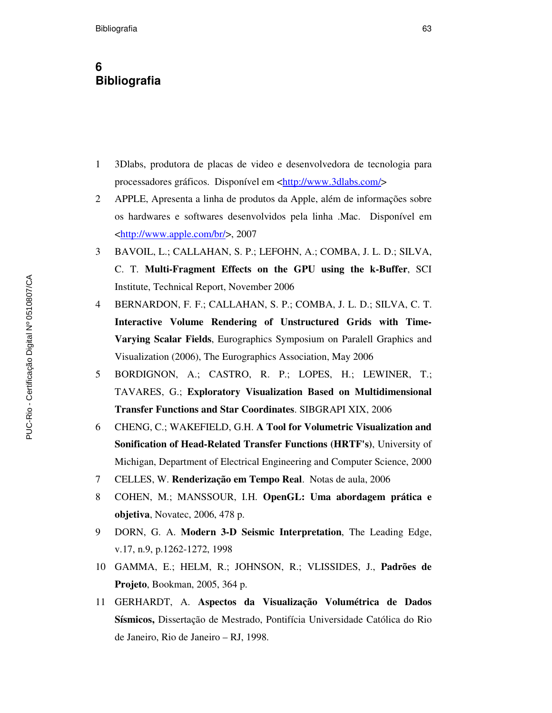## **6 Bibliografia**

- 1 3Dlabs, produtora de placas de video e desenvolvedora de tecnologia para processadores gráficos. Disponível em <http://www.3dlabs.com/>
- 2 APPLE, Apresenta a linha de produtos da Apple, além de informações sobre os hardwares e softwares desenvolvidos pela linha .Mac. Disponível em <http://www.apple.com/br/>, 2007
- 3 BAVOIL, L.; CALLAHAN, S. P.; LEFOHN, A.; COMBA, J. L. D.; SILVA, C. T. **Multi-Fragment Effects on the GPU using the k-Buffer**, SCI Institute, Technical Report, November 2006
- 4 BERNARDON, F. F.; CALLAHAN, S. P.; COMBA, J. L. D.; SILVA, C. T. **Interactive Volume Rendering of Unstructured Grids with Time-Varying Scalar Fields**, Eurographics Symposium on Paralell Graphics and Visualization (2006), The Eurographics Association, May 2006
- 5 BORDIGNON, A.; CASTRO, R. P.; LOPES, H.; LEWINER, T.; TAVARES, G.; **Exploratory Visualization Based on Multidimensional Transfer Functions and Star Coordinates**. SIBGRAPI XIX, 2006
- 6 CHENG, C.; WAKEFIELD, G.H. **A Tool for Volumetric Visualization and Sonification of Head-Related Transfer Functions (HRTF's)**, University of Michigan, Department of Electrical Engineering and Computer Science, 2000
- 7 CELLES, W. **Renderização em Tempo Real**. Notas de aula, 2006
- 8 COHEN, M.; MANSSOUR, I.H. **OpenGL: Uma abordagem prática e objetiva**, Novatec, 2006, 478 p.
- 9 DORN, G. A. **Modern 3-D Seismic Interpretation**, The Leading Edge, v.17, n.9, p.1262-1272, 1998
- 10 GAMMA, E.; HELM, R.; JOHNSON, R.; VLISSIDES, J., **Padrões de Projeto**, Bookman, 2005, 364 p.
- 11 GERHARDT, A. **Aspectos da Visualização Volumétrica de Dados Sísmicos,** Dissertação de Mestrado, Pontifícia Universidade Católica do Rio de Janeiro, Rio de Janeiro – RJ, 1998.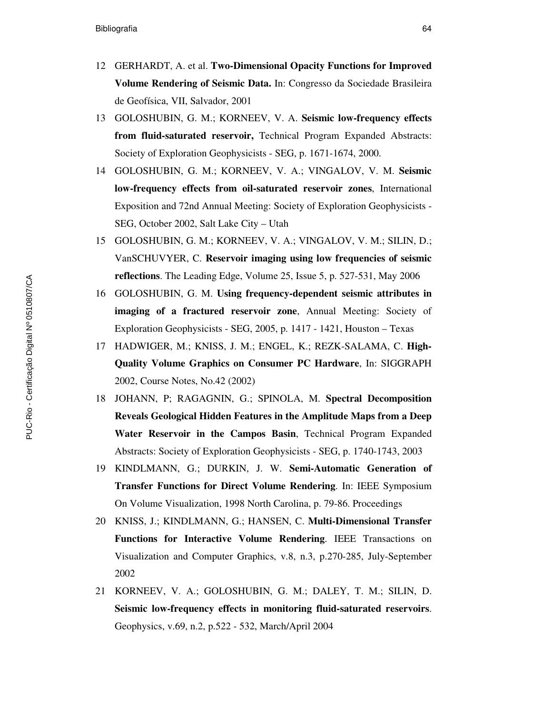- 12 GERHARDT, A. et al. **Two-Dimensional Opacity Functions for Improved Volume Rendering of Seismic Data.** In: Congresso da Sociedade Brasileira de Geofísica, VII, Salvador, 2001
- 13 GOLOSHUBIN, G. M.; KORNEEV, V. A. **Seismic low-frequency effects from fluid-saturated reservoir,** Technical Program Expanded Abstracts: Society of Exploration Geophysicists - SEG, p. 1671-1674, 2000.
- 14 GOLOSHUBIN, G. M.; KORNEEV, V. A.; VINGALOV, V. M. **Seismic low-frequency effects from oil-saturated reservoir zones**, International Exposition and 72nd Annual Meeting: Society of Exploration Geophysicists - SEG, October 2002, Salt Lake City – Utah
- 15 GOLOSHUBIN, G. M.; KORNEEV, V. A.; VINGALOV, V. M.; SILIN, D.; VanSCHUVYER, C. **Reservoir imaging using low frequencies of seismic reflections**. The Leading Edge, Volume 25, Issue 5, p. 527-531, May 2006
- 16 GOLOSHUBIN, G. M. **Using frequency-dependent seismic attributes in imaging of a fractured reservoir zone**, Annual Meeting: Society of Exploration Geophysicists - SEG, 2005, p. 1417 - 1421, Houston – Texas
- 17 HADWIGER, M.; KNISS, J. M.; ENGEL, K.; REZK-SALAMA, C. **High-Quality Volume Graphics on Consumer PC Hardware**, In: SIGGRAPH 2002, Course Notes, No.42 (2002)
- 18 JOHANN, P; RAGAGNIN, G.; SPINOLA, M. **Spectral Decomposition Reveals Geological Hidden Features in the Amplitude Maps from a Deep Water Reservoir in the Campos Basin**, Technical Program Expanded Abstracts: Society of Exploration Geophysicists - SEG, p. 1740-1743, 2003
- 19 KINDLMANN, G.; DURKIN, J. W. **Semi-Automatic Generation of Transfer Functions for Direct Volume Rendering**. In: IEEE Symposium On Volume Visualization, 1998 North Carolina, p. 79-86. Proceedings
- 20 KNISS, J.; KINDLMANN, G.; HANSEN, C. **Multi-Dimensional Transfer Functions for Interactive Volume Rendering**. IEEE Transactions on Visualization and Computer Graphics, v.8, n.3, p.270-285, July-September 2002
- 21 KORNEEV, V. A.; GOLOSHUBIN, G. M.; DALEY, T. M.; SILIN, D. **Seismic low-frequency effects in monitoring fluid-saturated reservoirs**. Geophysics, v.69, n.2, p.522 - 532, March/April 2004